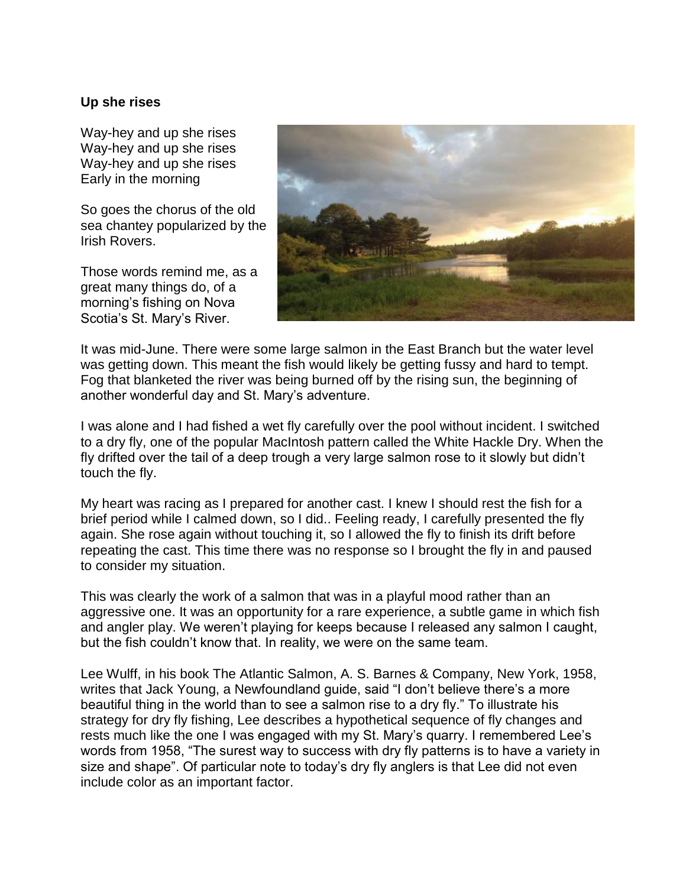## **Up she rises**

Way-hey and up she rises Way-hey and up she rises Way-hey and up she rises Early in the morning

So goes the chorus of the old sea chantey popularized by the Irish Rovers.

Those words remind me, as a great many things do, of a morning's fishing on Nova Scotia's St. Mary's River.



It was mid-June. There were some large salmon in the East Branch but the water level was getting down. This meant the fish would likely be getting fussy and hard to tempt. Fog that blanketed the river was being burned off by the rising sun, the beginning of another wonderful day and St. Mary's adventure.

I was alone and I had fished a wet fly carefully over the pool without incident. I switched to a dry fly, one of the popular MacIntosh pattern called the White Hackle Dry. When the fly drifted over the tail of a deep trough a very large salmon rose to it slowly but didn't touch the fly.

My heart was racing as I prepared for another cast. I knew I should rest the fish for a brief period while I calmed down, so I did.. Feeling ready, I carefully presented the fly again. She rose again without touching it, so I allowed the fly to finish its drift before repeating the cast. This time there was no response so I brought the fly in and paused to consider my situation.

This was clearly the work of a salmon that was in a playful mood rather than an aggressive one. It was an opportunity for a rare experience, a subtle game in which fish and angler play. We weren't playing for keeps because I released any salmon I caught, but the fish couldn't know that. In reality, we were on the same team.

Lee Wulff, in his book The Atlantic Salmon, A. S. Barnes & Company, New York, 1958, writes that Jack Young, a Newfoundland guide, said "I don't believe there's a more beautiful thing in the world than to see a salmon rise to a dry fly." To illustrate his strategy for dry fly fishing, Lee describes a hypothetical sequence of fly changes and rests much like the one I was engaged with my St. Mary's quarry. I remembered Lee's words from 1958, "The surest way to success with dry fly patterns is to have a variety in size and shape". Of particular note to today's dry fly anglers is that Lee did not even include color as an important factor.